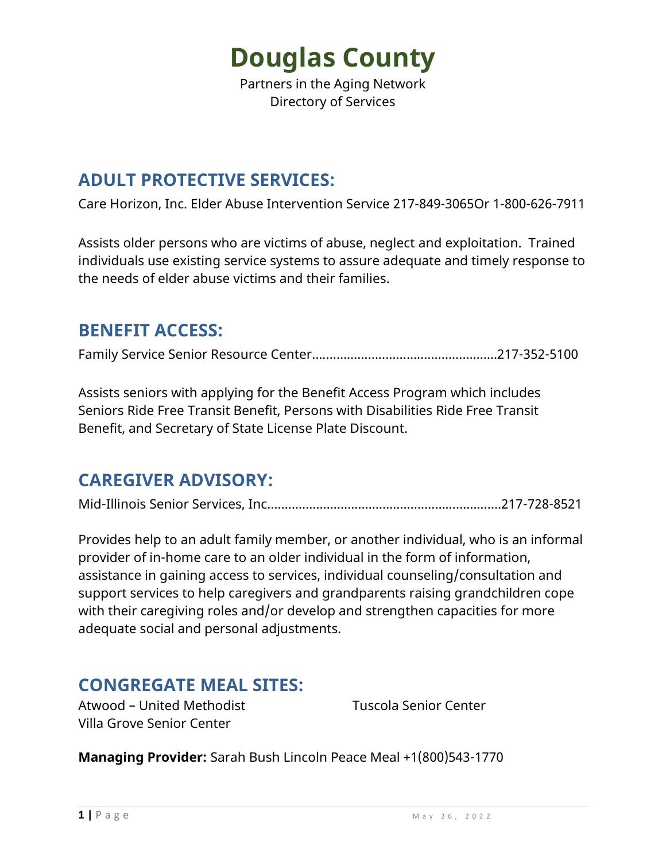Partners in the Aging Network Directory of Services

#### **ADULT PROTECTIVE SERVICES:**

Care Horizon, Inc. Elder Abuse Intervention Service 217-849-3065Or 1-800-626-7911

Assists older persons who are victims of abuse, neglect and exploitation. Trained individuals use existing service systems to assure adequate and timely response to the needs of elder abuse victims and their families.

#### **BENEFIT ACCESS:**

Family Service Senior Resource Center….……………..………….……………….217-352-5100

Assists seniors with applying for the Benefit Access Program which includes Seniors Ride Free Transit Benefit, Persons with Disabilities Ride Free Transit Benefit, and Secretary of State License Plate Discount.

### **CAREGIVER ADVISORY:**

Mid-Illinois Senior Services, Inc………………………………………………………….217-728-8521

Provides help to an adult family member, or another individual, who is an informal provider of in-home care to an older individual in the form of information, assistance in gaining access to services, individual counseling/consultation and support services to help caregivers and grandparents raising grandchildren cope with their caregiving roles and/or develop and strengthen capacities for more adequate social and personal adjustments.

#### **CONGREGATE MEAL SITES:**

Atwood – United Methodist Tuscola Senior Center Villa Grove Senior Center

**Managing Provider:** Sarah Bush Lincoln Peace Meal +1(800)543-1770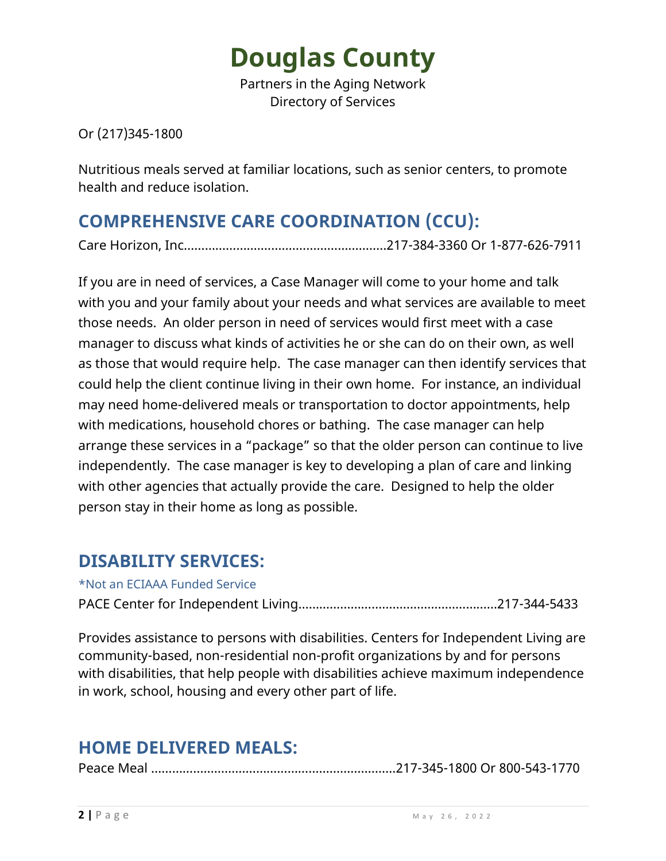Partners in the Aging Network Directory of Services

Or (217)345-1800

Nutritious meals served at familiar locations, such as senior centers, to promote health and reduce isolation.

## **COMPREHENSIVE CARE COORDINATION (CCU):**

Care Horizon, Inc………………….………….………….……….217-384-3360 Or 1-877-626-7911

If you are in need of services, a Case Manager will come to your home and talk with you and your family about your needs and what services are available to meet those needs. An older person in need of services would first meet with a case manager to discuss what kinds of activities he or she can do on their own, as well as those that would require help. The case manager can then identify services that could help the client continue living in their own home. For instance, an individual may need home-delivered meals or transportation to doctor appointments, help with medications, household chores or bathing. The case manager can help arrange these services in a "package" so that the older person can continue to live independently. The case manager is key to developing a plan of care and linking with other agencies that actually provide the care. Designed to help the older person stay in their home as long as possible.

### **DISABILITY SERVICES:**

#### \*Not an ECIAAA Funded Service

PACE Center for Independent Living…………………………………………………217-344-5433

Provides assistance to persons with disabilities. Centers for Independent Living are community-based, non-residential non-profit organizations by and for persons with disabilities, that help people with disabilities achieve maximum independence in work, school, housing and every other part of life.

### **HOME DELIVERED MEALS:**

Peace Meal …………………………………………………………….217-345-1800 Or 800-543-1770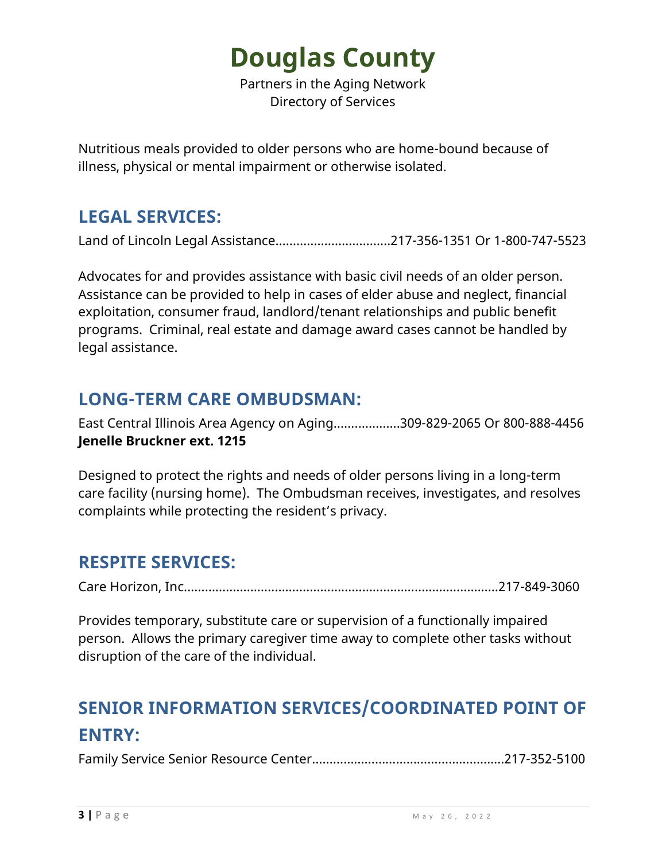Partners in the Aging Network Directory of Services

Nutritious meals provided to older persons who are home-bound because of illness, physical or mental impairment or otherwise isolated.

#### **LEGAL SERVICES:**

Land of Lincoln Legal Assistance……………………………217-356-1351 Or 1-800-747-5523

Advocates for and provides assistance with basic civil needs of an older person. Assistance can be provided to help in cases of elder abuse and neglect, financial exploitation, consumer fraud, landlord/tenant relationships and public benefit programs. Criminal, real estate and damage award cases cannot be handled by legal assistance.

#### **LONG-TERM CARE OMBUDSMAN:**

East Central Illinois Area Agency on Aging…….………...309-829-2065 Or 800-888-4456 **Jenelle Bruckner ext. 1215**

Designed to protect the rights and needs of older persons living in a long-term care facility (nursing home). The Ombudsman receives, investigates, and resolves complaints while protecting the resident's privacy.

#### **RESPITE SERVICES:**

Care Horizon, Inc……….……….………….……………………………………….………..217-849-3060

Provides temporary, substitute care or supervision of a functionally impaired person. Allows the primary caregiver time away to complete other tasks without disruption of the care of the individual.

## **SENIOR INFORMATION SERVICES/COORDINATED POINT OF ENTRY:**

Family Service Senior Resource Center……………………………………………….217-352-5100